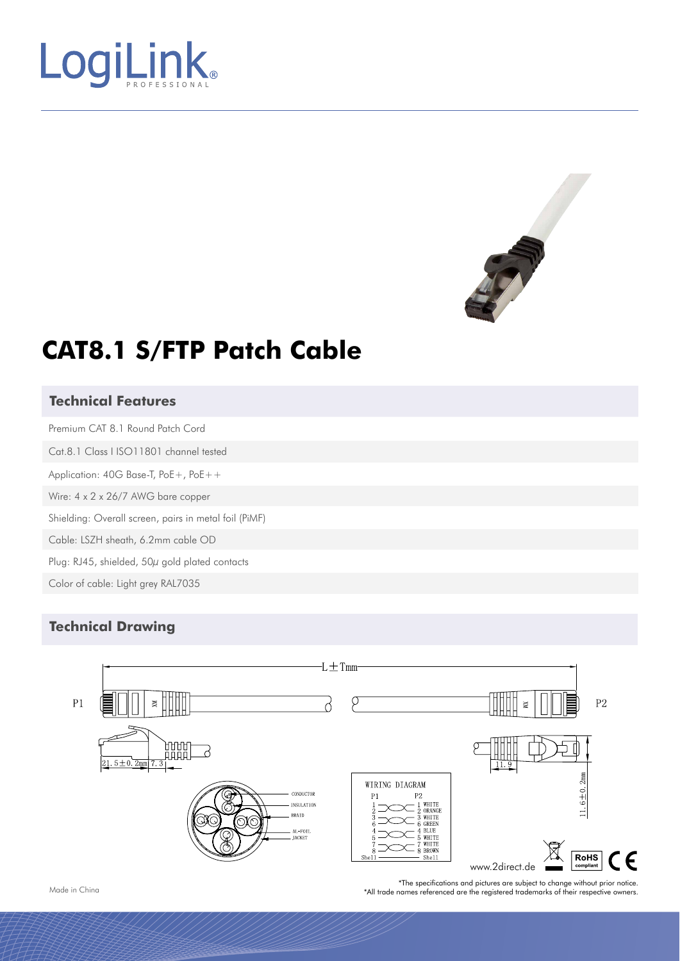



# **CAT8.1 S/FTP Patch Cable**

#### **Technical Features**

Premium CAT 8.1 Round Patch Cord Cat.8.1 Class I ISO11801 channel tested Application: 40G Base-T, PoE+, PoE++ Wire: 4 x 2 x 26/7 AWG bare copper Shielding: Overall screen, pairs in metal foil (PiMF) Cable: LSZH sheath, 6.2mm cable OD

Plug: RJ45, shielded, 50µ gold plated contacts

Color of cable: Light grey RAL7035

#### **Technical Drawing**



\*The specifications and pictures are subject to change without prior notice. \*All trade names referenced are the registered trademarks of their respective owners.